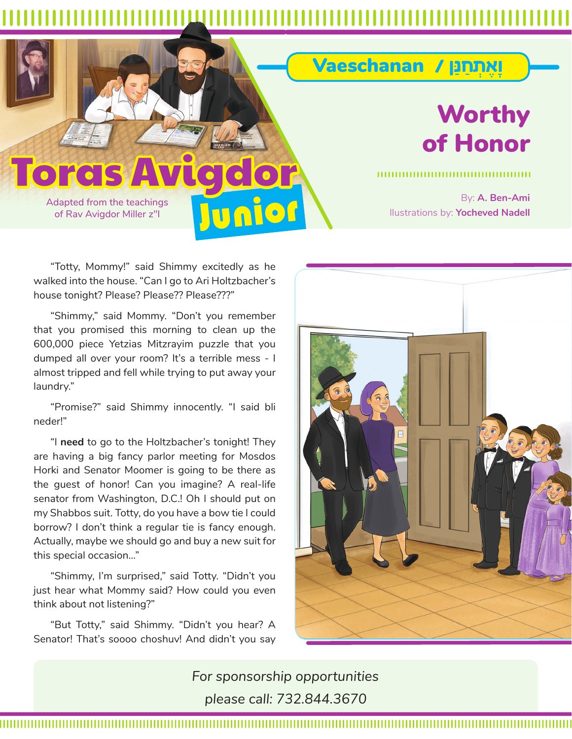Junior

## **Toras**

Adapted from the teachings of Rav Avigdor Miller z"l

## Worthy of Honor

ָו∆‡ ¿˙ַחַּנן / Vaeschanan

By: **A. Ben-Ami** llustrations by: **Yocheved Nadell**

"Totty, Mommy!" said Shimmy excitedly as he walked into the house. "Can I go to Ari Holtzbacher's house tonight? Please? Please?? Please???"

"Shimmy," said Mommy. "Don't you remember that you promised this morning to clean up the 600,000 piece Yetzias Mitzrayim puzzle that you dumped all over your room? It's a terrible mess - I almost tripped and fell while trying to put away your laundry."

"Promise?" said Shimmy innocently. "I said bli neder!"

"I **need** to go to the Holtzbacher's tonight! They are having a big fancy parlor meeting for Mosdos Horki and Senator Moomer is going to be there as the guest of honor! Can you imagine? A real-life senator from Washington, D.C.! Oh I should put on my Shabbos suit. Totty, do you have a bow tie I could borrow? I don't think a regular tie is fancy enough. Actually, maybe we should go and buy a new suit for this special occasion..."

"Shimmy, I'm surprised," said Totty. "Didn't you just hear what Mommy said? How could you even think about not listening?"

"But Totty," said Shimmy. "Didn't you hear? A Senator! That's soooo choshuv! And didn't you say



*For sponsorship opportunities please call: 732.844.3670*